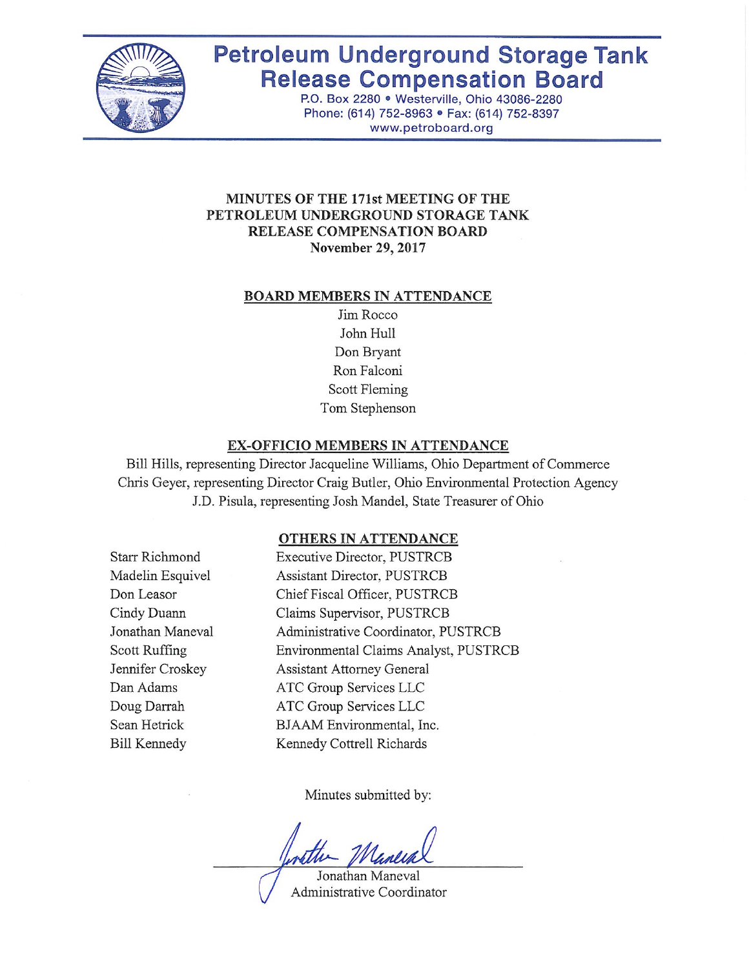

# **Petroleum Underground Storage Tank Release Compensation Board**

P.O. Box 2280 · Westerville, Ohio 43086-2280 Phone: (614) 752-8963 · Fax: (614) 752-8397 www.petroboard.org

#### **MINUTES OF THE 171st MEETING OF THE** PETROLEUM UNDERGROUND STORAGE TANK **RELEASE COMPENSATION BOARD November 29, 2017**

#### **BOARD MEMBERS IN ATTENDANCE**

Jim Rocco John Hull Don Bryant Ron Falconi Scott Fleming Tom Stephenson

#### EX-OFFICIO MEMBERS IN ATTENDANCE

Bill Hills, representing Director Jacqueline Williams, Ohio Department of Commerce Chris Geyer, representing Director Craig Butler, Ohio Environmental Protection Agency J.D. Pisula, representing Josh Mandel, State Treasurer of Ohio

## OTHERS IN ATTENDANCE

**Starr Richmond** Madelin Esquivel Don Leasor Cindy Duann Jonathan Maneval Scott Ruffing Jennifer Croskey Dan Adams Doug Darrah Sean Hetrick **Bill Kennedy** 

**Executive Director, PUSTRCB Assistant Director, PUSTRCB** Chief Fiscal Officer, PUSTRCB Claims Supervisor, PUSTRCB Administrative Coordinator, PUSTRCB Environmental Claims Analyst, PUSTRCB **Assistant Attorney General** ATC Group Services LLC ATC Group Services LLC BJAAM Environmental, Inc. Kennedy Cottrell Richards

Minutes submitted by:

Jonathan Maneval Administrative Coordinator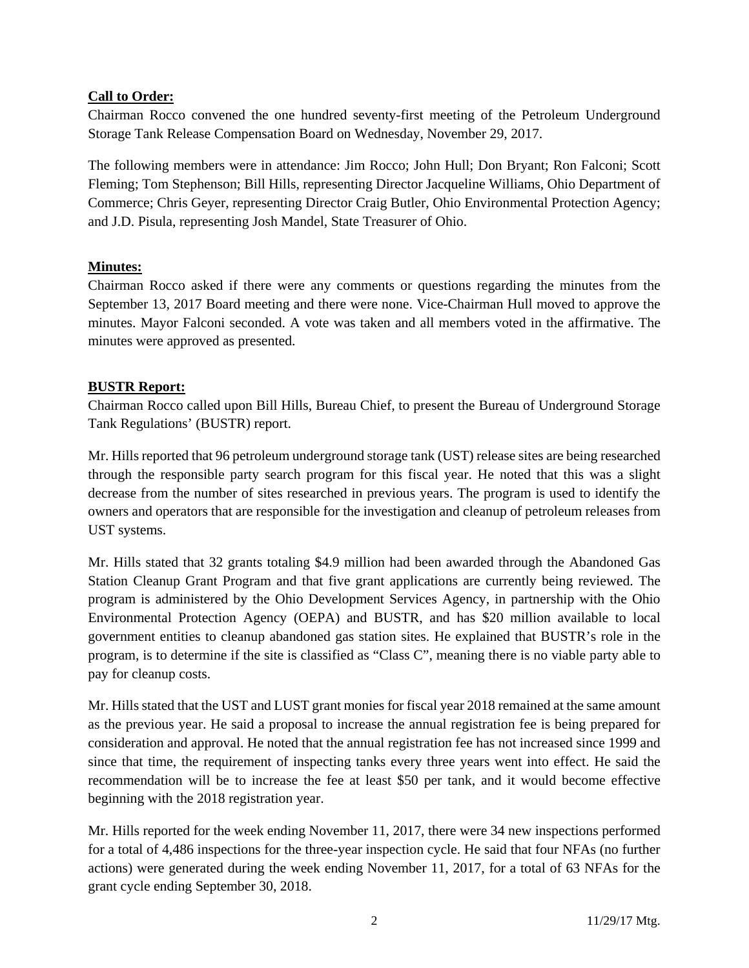## **Call to Order:**

Chairman Rocco convened the one hundred seventy-first meeting of the Petroleum Underground Storage Tank Release Compensation Board on Wednesday, November 29, 2017.

The following members were in attendance: Jim Rocco; John Hull; Don Bryant; Ron Falconi; Scott Fleming; Tom Stephenson; Bill Hills, representing Director Jacqueline Williams, Ohio Department of Commerce; Chris Geyer, representing Director Craig Butler, Ohio Environmental Protection Agency; and J.D. Pisula, representing Josh Mandel, State Treasurer of Ohio.

## **Minutes:**

Chairman Rocco asked if there were any comments or questions regarding the minutes from the September 13, 2017 Board meeting and there were none. Vice-Chairman Hull moved to approve the minutes. Mayor Falconi seconded. A vote was taken and all members voted in the affirmative. The minutes were approved as presented.

## **BUSTR Report:**

Chairman Rocco called upon Bill Hills, Bureau Chief, to present the Bureau of Underground Storage Tank Regulations' (BUSTR) report.

Mr. Hills reported that 96 petroleum underground storage tank (UST) release sites are being researched through the responsible party search program for this fiscal year. He noted that this was a slight decrease from the number of sites researched in previous years. The program is used to identify the owners and operators that are responsible for the investigation and cleanup of petroleum releases from UST systems.

Mr. Hills stated that 32 grants totaling \$4.9 million had been awarded through the Abandoned Gas Station Cleanup Grant Program and that five grant applications are currently being reviewed. The program is administered by the Ohio Development Services Agency, in partnership with the Ohio Environmental Protection Agency (OEPA) and BUSTR, and has \$20 million available to local government entities to cleanup abandoned gas station sites. He explained that BUSTR's role in the program, is to determine if the site is classified as "Class C", meaning there is no viable party able to pay for cleanup costs.

Mr. Hills stated that the UST and LUST grant monies for fiscal year 2018 remained at the same amount as the previous year. He said a proposal to increase the annual registration fee is being prepared for consideration and approval. He noted that the annual registration fee has not increased since 1999 and since that time, the requirement of inspecting tanks every three years went into effect. He said the recommendation will be to increase the fee at least \$50 per tank, and it would become effective beginning with the 2018 registration year.

Mr. Hills reported for the week ending November 11, 2017, there were 34 new inspections performed for a total of 4,486 inspections for the three-year inspection cycle. He said that four NFAs (no further actions) were generated during the week ending November 11, 2017, for a total of 63 NFAs for the grant cycle ending September 30, 2018.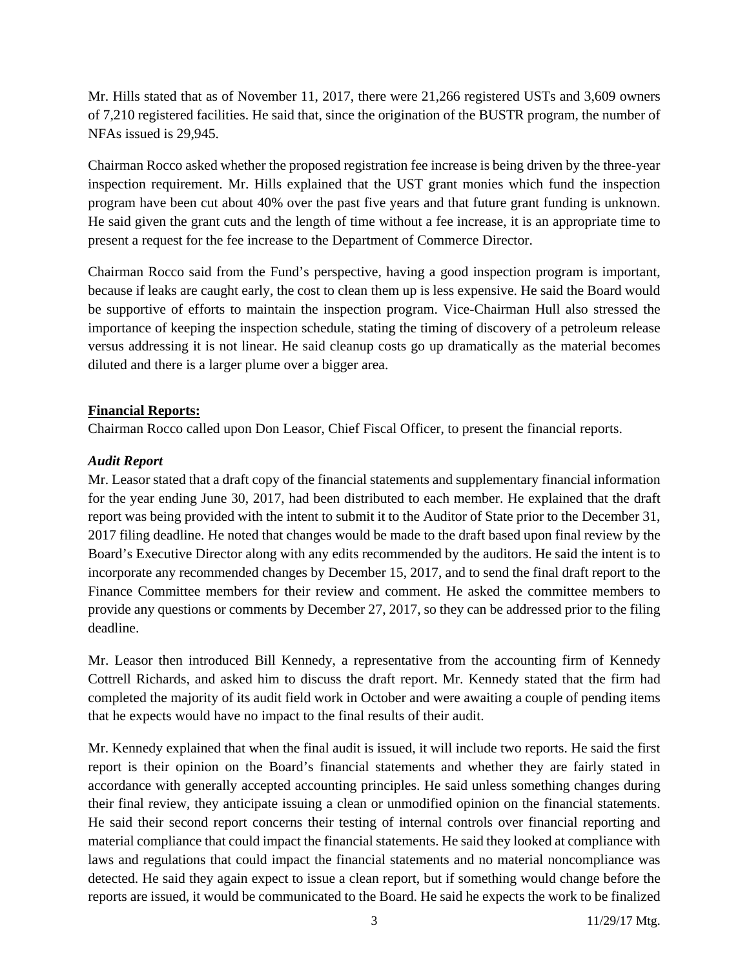Mr. Hills stated that as of November 11, 2017, there were 21,266 registered USTs and 3,609 owners of 7,210 registered facilities. He said that, since the origination of the BUSTR program, the number of NFAs issued is 29,945.

Chairman Rocco asked whether the proposed registration fee increase is being driven by the three-year inspection requirement. Mr. Hills explained that the UST grant monies which fund the inspection program have been cut about 40% over the past five years and that future grant funding is unknown. He said given the grant cuts and the length of time without a fee increase, it is an appropriate time to present a request for the fee increase to the Department of Commerce Director.

Chairman Rocco said from the Fund's perspective, having a good inspection program is important, because if leaks are caught early, the cost to clean them up is less expensive. He said the Board would be supportive of efforts to maintain the inspection program. Vice-Chairman Hull also stressed the importance of keeping the inspection schedule, stating the timing of discovery of a petroleum release versus addressing it is not linear. He said cleanup costs go up dramatically as the material becomes diluted and there is a larger plume over a bigger area.

## **Financial Reports:**

Chairman Rocco called upon Don Leasor, Chief Fiscal Officer, to present the financial reports.

## *Audit Report*

Mr. Leasor stated that a draft copy of the financial statements and supplementary financial information for the year ending June 30, 2017, had been distributed to each member. He explained that the draft report was being provided with the intent to submit it to the Auditor of State prior to the December 31, 2017 filing deadline. He noted that changes would be made to the draft based upon final review by the Board's Executive Director along with any edits recommended by the auditors. He said the intent is to incorporate any recommended changes by December 15, 2017, and to send the final draft report to the Finance Committee members for their review and comment. He asked the committee members to provide any questions or comments by December 27, 2017, so they can be addressed prior to the filing deadline.

Mr. Leasor then introduced Bill Kennedy, a representative from the accounting firm of Kennedy Cottrell Richards, and asked him to discuss the draft report. Mr. Kennedy stated that the firm had completed the majority of its audit field work in October and were awaiting a couple of pending items that he expects would have no impact to the final results of their audit.

Mr. Kennedy explained that when the final audit is issued, it will include two reports. He said the first report is their opinion on the Board's financial statements and whether they are fairly stated in accordance with generally accepted accounting principles. He said unless something changes during their final review, they anticipate issuing a clean or unmodified opinion on the financial statements. He said their second report concerns their testing of internal controls over financial reporting and material compliance that could impact the financial statements. He said they looked at compliance with laws and regulations that could impact the financial statements and no material noncompliance was detected. He said they again expect to issue a clean report, but if something would change before the reports are issued, it would be communicated to the Board. He said he expects the work to be finalized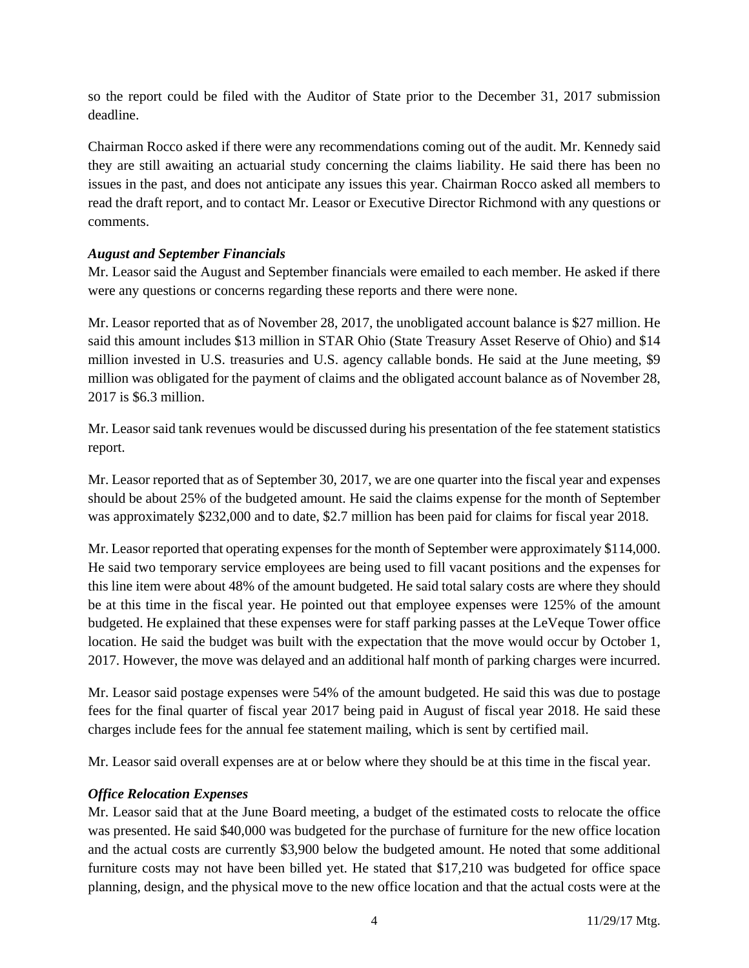so the report could be filed with the Auditor of State prior to the December 31, 2017 submission deadline.

Chairman Rocco asked if there were any recommendations coming out of the audit. Mr. Kennedy said they are still awaiting an actuarial study concerning the claims liability. He said there has been no issues in the past, and does not anticipate any issues this year. Chairman Rocco asked all members to read the draft report, and to contact Mr. Leasor or Executive Director Richmond with any questions or comments.

## *August and September Financials*

Mr. Leasor said the August and September financials were emailed to each member. He asked if there were any questions or concerns regarding these reports and there were none.

Mr. Leasor reported that as of November 28, 2017, the unobligated account balance is \$27 million. He said this amount includes \$13 million in STAR Ohio (State Treasury Asset Reserve of Ohio) and \$14 million invested in U.S. treasuries and U.S. agency callable bonds. He said at the June meeting, \$9 million was obligated for the payment of claims and the obligated account balance as of November 28, 2017 is \$6.3 million.

Mr. Leasor said tank revenues would be discussed during his presentation of the fee statement statistics report.

Mr. Leasor reported that as of September 30, 2017, we are one quarter into the fiscal year and expenses should be about 25% of the budgeted amount. He said the claims expense for the month of September was approximately \$232,000 and to date, \$2.7 million has been paid for claims for fiscal year 2018.

Mr. Leasor reported that operating expenses for the month of September were approximately \$114,000. He said two temporary service employees are being used to fill vacant positions and the expenses for this line item were about 48% of the amount budgeted. He said total salary costs are where they should be at this time in the fiscal year. He pointed out that employee expenses were 125% of the amount budgeted. He explained that these expenses were for staff parking passes at the LeVeque Tower office location. He said the budget was built with the expectation that the move would occur by October 1, 2017. However, the move was delayed and an additional half month of parking charges were incurred.

Mr. Leasor said postage expenses were 54% of the amount budgeted. He said this was due to postage fees for the final quarter of fiscal year 2017 being paid in August of fiscal year 2018. He said these charges include fees for the annual fee statement mailing, which is sent by certified mail.

Mr. Leasor said overall expenses are at or below where they should be at this time in the fiscal year.

# *Office Relocation Expenses*

Mr. Leasor said that at the June Board meeting, a budget of the estimated costs to relocate the office was presented. He said \$40,000 was budgeted for the purchase of furniture for the new office location and the actual costs are currently \$3,900 below the budgeted amount. He noted that some additional furniture costs may not have been billed yet. He stated that \$17,210 was budgeted for office space planning, design, and the physical move to the new office location and that the actual costs were at the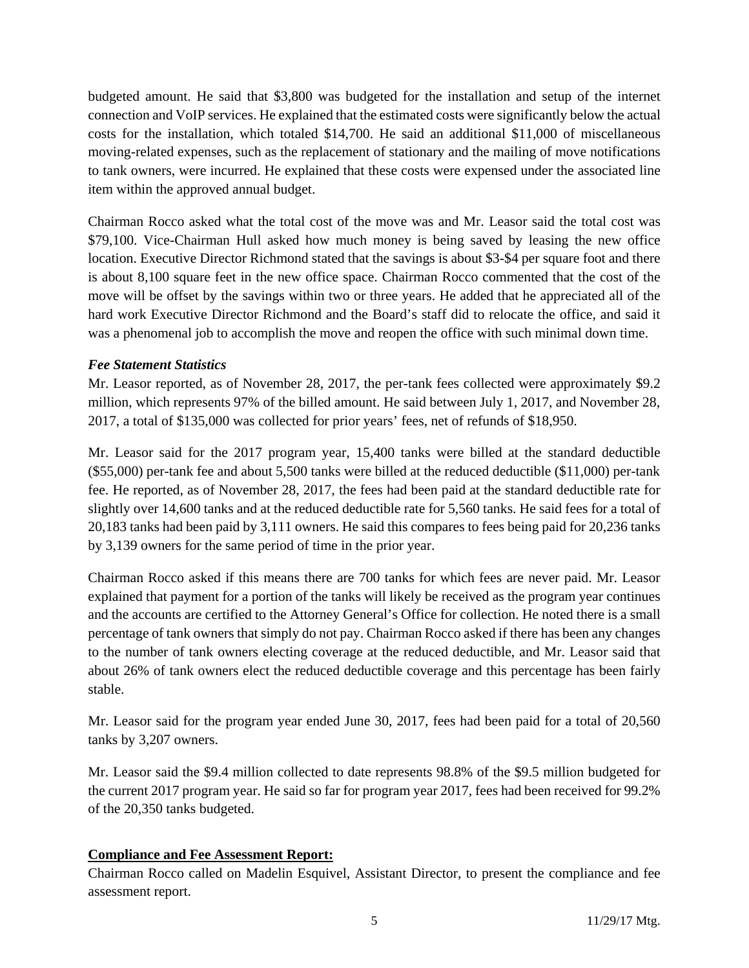budgeted amount. He said that \$3,800 was budgeted for the installation and setup of the internet connection and VoIP services. He explained that the estimated costs were significantly below the actual costs for the installation, which totaled \$14,700. He said an additional \$11,000 of miscellaneous moving-related expenses, such as the replacement of stationary and the mailing of move notifications to tank owners, were incurred. He explained that these costs were expensed under the associated line item within the approved annual budget.

Chairman Rocco asked what the total cost of the move was and Mr. Leasor said the total cost was \$79,100. Vice-Chairman Hull asked how much money is being saved by leasing the new office location. Executive Director Richmond stated that the savings is about \$3-\$4 per square foot and there is about 8,100 square feet in the new office space. Chairman Rocco commented that the cost of the move will be offset by the savings within two or three years. He added that he appreciated all of the hard work Executive Director Richmond and the Board's staff did to relocate the office, and said it was a phenomenal job to accomplish the move and reopen the office with such minimal down time.

## *Fee Statement Statistics*

Mr. Leasor reported, as of November 28, 2017, the per-tank fees collected were approximately \$9.2 million, which represents 97% of the billed amount. He said between July 1, 2017, and November 28, 2017, a total of \$135,000 was collected for prior years' fees, net of refunds of \$18,950.

Mr. Leasor said for the 2017 program year, 15,400 tanks were billed at the standard deductible (\$55,000) per-tank fee and about 5,500 tanks were billed at the reduced deductible (\$11,000) per-tank fee. He reported, as of November 28, 2017, the fees had been paid at the standard deductible rate for slightly over 14,600 tanks and at the reduced deductible rate for 5,560 tanks. He said fees for a total of 20,183 tanks had been paid by 3,111 owners. He said this compares to fees being paid for 20,236 tanks by 3,139 owners for the same period of time in the prior year.

Chairman Rocco asked if this means there are 700 tanks for which fees are never paid. Mr. Leasor explained that payment for a portion of the tanks will likely be received as the program year continues and the accounts are certified to the Attorney General's Office for collection. He noted there is a small percentage of tank owners that simply do not pay. Chairman Rocco asked if there has been any changes to the number of tank owners electing coverage at the reduced deductible, and Mr. Leasor said that about 26% of tank owners elect the reduced deductible coverage and this percentage has been fairly stable.

Mr. Leasor said for the program year ended June 30, 2017, fees had been paid for a total of 20,560 tanks by 3,207 owners.

Mr. Leasor said the \$9.4 million collected to date represents 98.8% of the \$9.5 million budgeted for the current 2017 program year. He said so far for program year 2017, fees had been received for 99.2% of the 20,350 tanks budgeted.

## **Compliance and Fee Assessment Report:**

Chairman Rocco called on Madelin Esquivel, Assistant Director, to present the compliance and fee assessment report.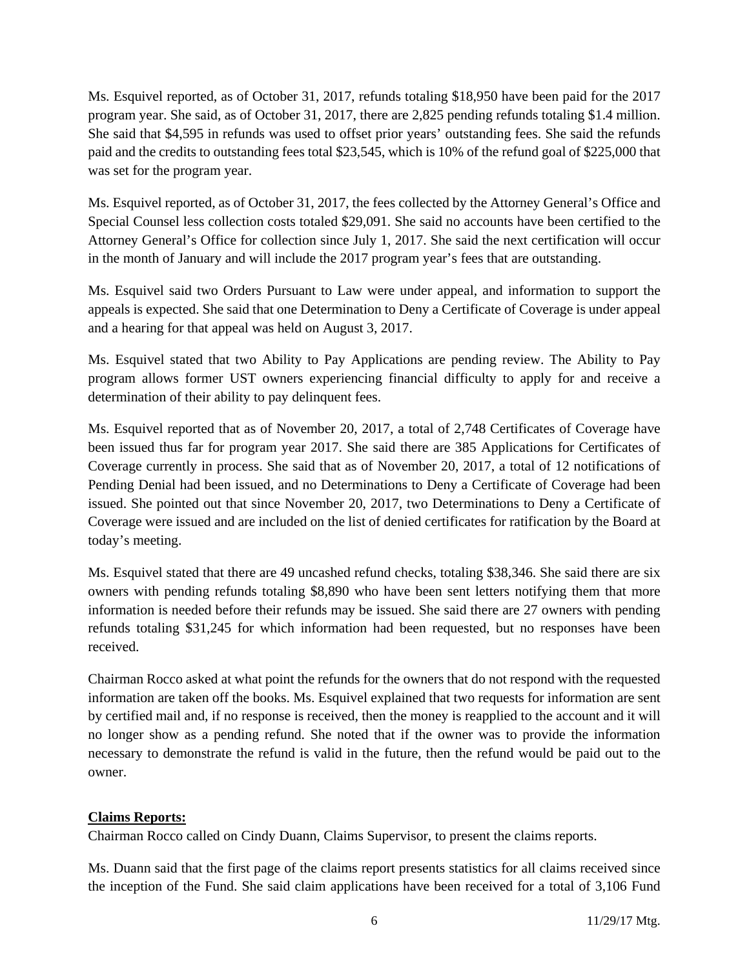Ms. Esquivel reported, as of October 31, 2017, refunds totaling \$18,950 have been paid for the 2017 program year. She said, as of October 31, 2017, there are 2,825 pending refunds totaling \$1.4 million. She said that \$4,595 in refunds was used to offset prior years' outstanding fees. She said the refunds paid and the credits to outstanding fees total \$23,545, which is 10% of the refund goal of \$225,000 that was set for the program year.

Ms. Esquivel reported, as of October 31, 2017, the fees collected by the Attorney General's Office and Special Counsel less collection costs totaled \$29,091. She said no accounts have been certified to the Attorney General's Office for collection since July 1, 2017. She said the next certification will occur in the month of January and will include the 2017 program year's fees that are outstanding.

Ms. Esquivel said two Orders Pursuant to Law were under appeal, and information to support the appeals is expected. She said that one Determination to Deny a Certificate of Coverage is under appeal and a hearing for that appeal was held on August 3, 2017.

Ms. Esquivel stated that two Ability to Pay Applications are pending review. The Ability to Pay program allows former UST owners experiencing financial difficulty to apply for and receive a determination of their ability to pay delinquent fees.

Ms. Esquivel reported that as of November 20, 2017, a total of 2,748 Certificates of Coverage have been issued thus far for program year 2017. She said there are 385 Applications for Certificates of Coverage currently in process. She said that as of November 20, 2017, a total of 12 notifications of Pending Denial had been issued, and no Determinations to Deny a Certificate of Coverage had been issued. She pointed out that since November 20, 2017, two Determinations to Deny a Certificate of Coverage were issued and are included on the list of denied certificates for ratification by the Board at today's meeting.

Ms. Esquivel stated that there are 49 uncashed refund checks, totaling \$38,346. She said there are six owners with pending refunds totaling \$8,890 who have been sent letters notifying them that more information is needed before their refunds may be issued. She said there are 27 owners with pending refunds totaling \$31,245 for which information had been requested, but no responses have been received.

Chairman Rocco asked at what point the refunds for the owners that do not respond with the requested information are taken off the books. Ms. Esquivel explained that two requests for information are sent by certified mail and, if no response is received, then the money is reapplied to the account and it will no longer show as a pending refund. She noted that if the owner was to provide the information necessary to demonstrate the refund is valid in the future, then the refund would be paid out to the owner.

# **Claims Reports:**

Chairman Rocco called on Cindy Duann, Claims Supervisor, to present the claims reports.

Ms. Duann said that the first page of the claims report presents statistics for all claims received since the inception of the Fund. She said claim applications have been received for a total of 3,106 Fund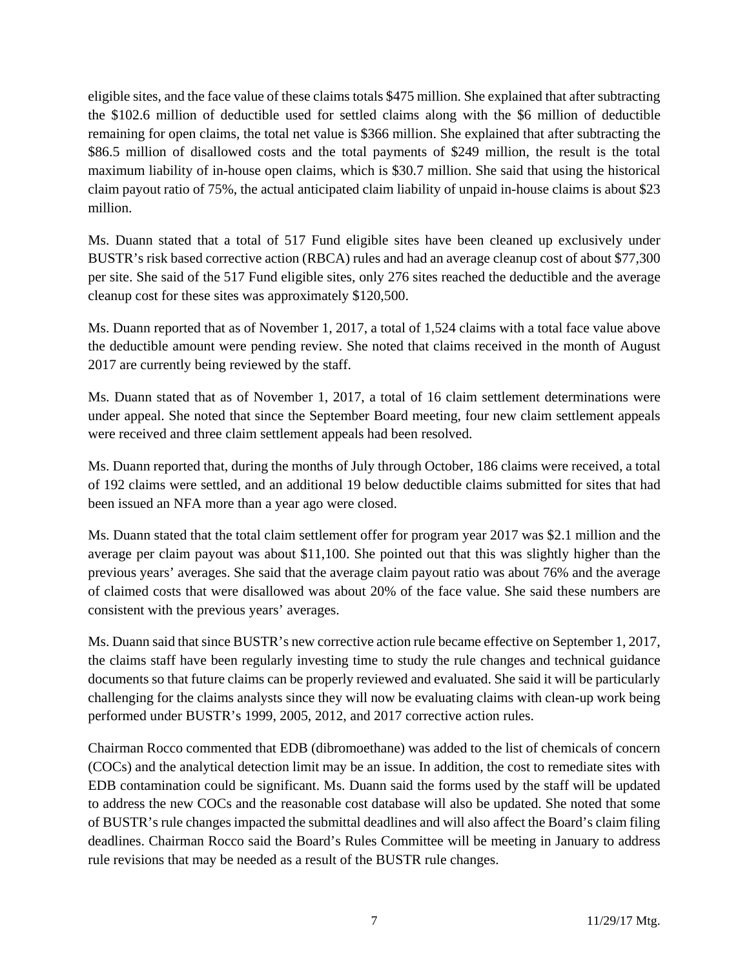eligible sites, and the face value of these claims totals \$475 million. She explained that after subtracting the \$102.6 million of deductible used for settled claims along with the \$6 million of deductible remaining for open claims, the total net value is \$366 million. She explained that after subtracting the \$86.5 million of disallowed costs and the total payments of \$249 million, the result is the total maximum liability of in-house open claims, which is \$30.7 million. She said that using the historical claim payout ratio of 75%, the actual anticipated claim liability of unpaid in-house claims is about \$23 million.

Ms. Duann stated that a total of 517 Fund eligible sites have been cleaned up exclusively under BUSTR's risk based corrective action (RBCA) rules and had an average cleanup cost of about \$77,300 per site. She said of the 517 Fund eligible sites, only 276 sites reached the deductible and the average cleanup cost for these sites was approximately \$120,500.

Ms. Duann reported that as of November 1, 2017, a total of 1,524 claims with a total face value above the deductible amount were pending review. She noted that claims received in the month of August 2017 are currently being reviewed by the staff.

Ms. Duann stated that as of November 1, 2017, a total of 16 claim settlement determinations were under appeal. She noted that since the September Board meeting, four new claim settlement appeals were received and three claim settlement appeals had been resolved.

Ms. Duann reported that, during the months of July through October, 186 claims were received, a total of 192 claims were settled, and an additional 19 below deductible claims submitted for sites that had been issued an NFA more than a year ago were closed.

Ms. Duann stated that the total claim settlement offer for program year 2017 was \$2.1 million and the average per claim payout was about \$11,100. She pointed out that this was slightly higher than the previous years' averages. She said that the average claim payout ratio was about 76% and the average of claimed costs that were disallowed was about 20% of the face value. She said these numbers are consistent with the previous years' averages.

Ms. Duann said that since BUSTR's new corrective action rule became effective on September 1, 2017, the claims staff have been regularly investing time to study the rule changes and technical guidance documents so that future claims can be properly reviewed and evaluated. She said it will be particularly challenging for the claims analysts since they will now be evaluating claims with clean-up work being performed under BUSTR's 1999, 2005, 2012, and 2017 corrective action rules.

Chairman Rocco commented that EDB (dibromoethane) was added to the list of chemicals of concern (COCs) and the analytical detection limit may be an issue. In addition, the cost to remediate sites with EDB contamination could be significant. Ms. Duann said the forms used by the staff will be updated to address the new COCs and the reasonable cost database will also be updated. She noted that some of BUSTR's rule changes impacted the submittal deadlines and will also affect the Board's claim filing deadlines. Chairman Rocco said the Board's Rules Committee will be meeting in January to address rule revisions that may be needed as a result of the BUSTR rule changes.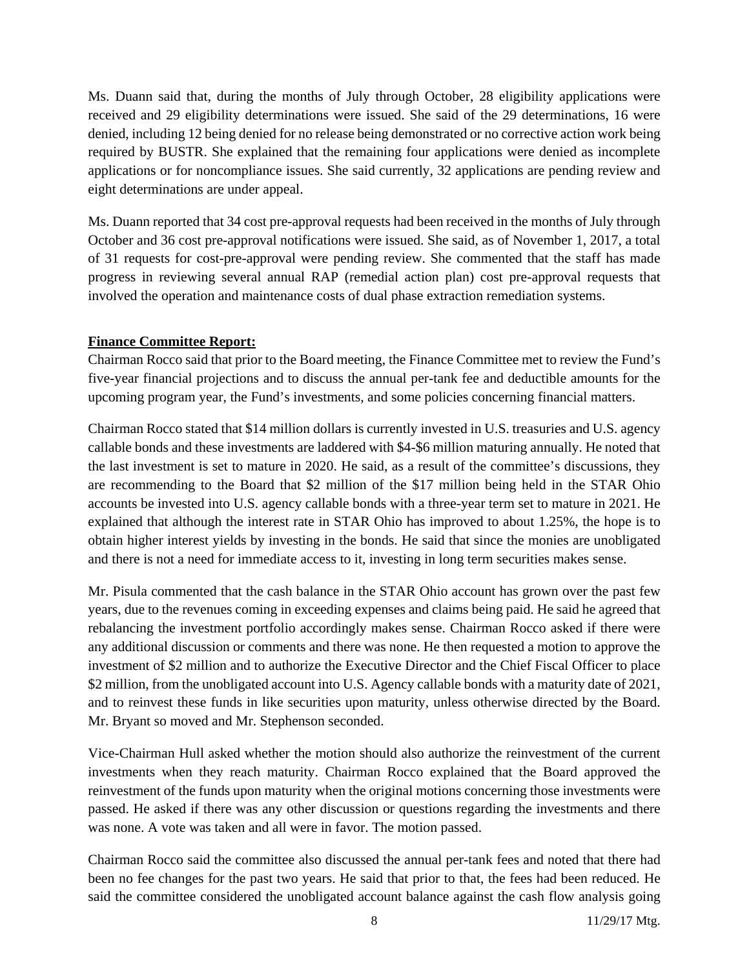Ms. Duann said that, during the months of July through October, 28 eligibility applications were received and 29 eligibility determinations were issued. She said of the 29 determinations, 16 were denied, including 12 being denied for no release being demonstrated or no corrective action work being required by BUSTR. She explained that the remaining four applications were denied as incomplete applications or for noncompliance issues. She said currently, 32 applications are pending review and eight determinations are under appeal.

Ms. Duann reported that 34 cost pre-approval requests had been received in the months of July through October and 36 cost pre-approval notifications were issued. She said, as of November 1, 2017, a total of 31 requests for cost-pre-approval were pending review. She commented that the staff has made progress in reviewing several annual RAP (remedial action plan) cost pre-approval requests that involved the operation and maintenance costs of dual phase extraction remediation systems.

## **Finance Committee Report:**

Chairman Rocco said that prior to the Board meeting, the Finance Committee met to review the Fund's five-year financial projections and to discuss the annual per-tank fee and deductible amounts for the upcoming program year, the Fund's investments, and some policies concerning financial matters.

Chairman Rocco stated that \$14 million dollars is currently invested in U.S. treasuries and U.S. agency callable bonds and these investments are laddered with \$4-\$6 million maturing annually. He noted that the last investment is set to mature in 2020. He said, as a result of the committee's discussions, they are recommending to the Board that \$2 million of the \$17 million being held in the STAR Ohio accounts be invested into U.S. agency callable bonds with a three-year term set to mature in 2021. He explained that although the interest rate in STAR Ohio has improved to about 1.25%, the hope is to obtain higher interest yields by investing in the bonds. He said that since the monies are unobligated and there is not a need for immediate access to it, investing in long term securities makes sense.

Mr. Pisula commented that the cash balance in the STAR Ohio account has grown over the past few years, due to the revenues coming in exceeding expenses and claims being paid. He said he agreed that rebalancing the investment portfolio accordingly makes sense. Chairman Rocco asked if there were any additional discussion or comments and there was none. He then requested a motion to approve the investment of \$2 million and to authorize the Executive Director and the Chief Fiscal Officer to place \$2 million, from the unobligated account into U.S. Agency callable bonds with a maturity date of 2021, and to reinvest these funds in like securities upon maturity, unless otherwise directed by the Board. Mr. Bryant so moved and Mr. Stephenson seconded.

Vice-Chairman Hull asked whether the motion should also authorize the reinvestment of the current investments when they reach maturity. Chairman Rocco explained that the Board approved the reinvestment of the funds upon maturity when the original motions concerning those investments were passed. He asked if there was any other discussion or questions regarding the investments and there was none. A vote was taken and all were in favor. The motion passed.

Chairman Rocco said the committee also discussed the annual per-tank fees and noted that there had been no fee changes for the past two years. He said that prior to that, the fees had been reduced. He said the committee considered the unobligated account balance against the cash flow analysis going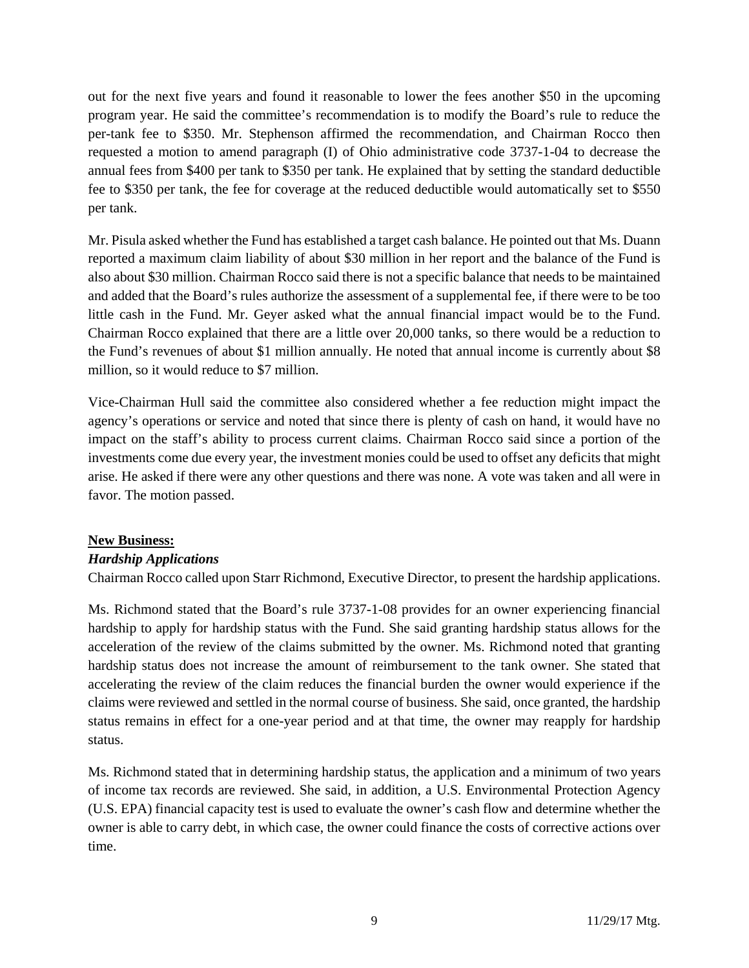out for the next five years and found it reasonable to lower the fees another \$50 in the upcoming program year. He said the committee's recommendation is to modify the Board's rule to reduce the per-tank fee to \$350. Mr. Stephenson affirmed the recommendation, and Chairman Rocco then requested a motion to amend paragraph (I) of Ohio administrative code 3737-1-04 to decrease the annual fees from \$400 per tank to \$350 per tank. He explained that by setting the standard deductible fee to \$350 per tank, the fee for coverage at the reduced deductible would automatically set to \$550 per tank.

Mr. Pisula asked whether the Fund has established a target cash balance. He pointed out that Ms. Duann reported a maximum claim liability of about \$30 million in her report and the balance of the Fund is also about \$30 million. Chairman Rocco said there is not a specific balance that needs to be maintained and added that the Board's rules authorize the assessment of a supplemental fee, if there were to be too little cash in the Fund. Mr. Geyer asked what the annual financial impact would be to the Fund. Chairman Rocco explained that there are a little over 20,000 tanks, so there would be a reduction to the Fund's revenues of about \$1 million annually. He noted that annual income is currently about \$8 million, so it would reduce to \$7 million.

Vice-Chairman Hull said the committee also considered whether a fee reduction might impact the agency's operations or service and noted that since there is plenty of cash on hand, it would have no impact on the staff's ability to process current claims. Chairman Rocco said since a portion of the investments come due every year, the investment monies could be used to offset any deficits that might arise. He asked if there were any other questions and there was none. A vote was taken and all were in favor. The motion passed.

# **New Business:**

## *Hardship Applications*

Chairman Rocco called upon Starr Richmond, Executive Director, to present the hardship applications.

Ms. Richmond stated that the Board's rule 3737-1-08 provides for an owner experiencing financial hardship to apply for hardship status with the Fund. She said granting hardship status allows for the acceleration of the review of the claims submitted by the owner. Ms. Richmond noted that granting hardship status does not increase the amount of reimbursement to the tank owner. She stated that accelerating the review of the claim reduces the financial burden the owner would experience if the claims were reviewed and settled in the normal course of business. She said, once granted, the hardship status remains in effect for a one-year period and at that time, the owner may reapply for hardship status.

Ms. Richmond stated that in determining hardship status, the application and a minimum of two years of income tax records are reviewed. She said, in addition, a U.S. Environmental Protection Agency (U.S. EPA) financial capacity test is used to evaluate the owner's cash flow and determine whether the owner is able to carry debt, in which case, the owner could finance the costs of corrective actions over time.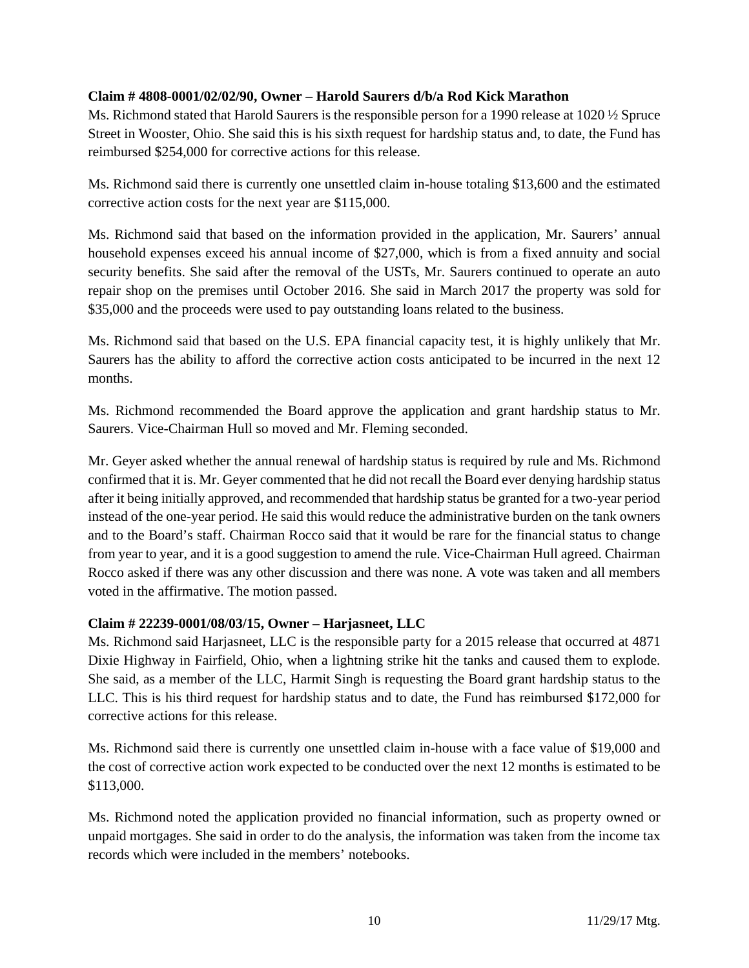## **Claim # 4808-0001/02/02/90, Owner – Harold Saurers d/b/a Rod Kick Marathon**

Ms. Richmond stated that Harold Saurers is the responsible person for a 1990 release at 1020 ½ Spruce Street in Wooster, Ohio. She said this is his sixth request for hardship status and, to date, the Fund has reimbursed \$254,000 for corrective actions for this release.

Ms. Richmond said there is currently one unsettled claim in-house totaling \$13,600 and the estimated corrective action costs for the next year are \$115,000.

Ms. Richmond said that based on the information provided in the application, Mr. Saurers' annual household expenses exceed his annual income of \$27,000, which is from a fixed annuity and social security benefits. She said after the removal of the USTs, Mr. Saurers continued to operate an auto repair shop on the premises until October 2016. She said in March 2017 the property was sold for \$35,000 and the proceeds were used to pay outstanding loans related to the business.

Ms. Richmond said that based on the U.S. EPA financial capacity test, it is highly unlikely that Mr. Saurers has the ability to afford the corrective action costs anticipated to be incurred in the next 12 months.

Ms. Richmond recommended the Board approve the application and grant hardship status to Mr. Saurers. Vice-Chairman Hull so moved and Mr. Fleming seconded.

Mr. Geyer asked whether the annual renewal of hardship status is required by rule and Ms. Richmond confirmed that it is. Mr. Geyer commented that he did not recall the Board ever denying hardship status after it being initially approved, and recommended that hardship status be granted for a two-year period instead of the one-year period. He said this would reduce the administrative burden on the tank owners and to the Board's staff. Chairman Rocco said that it would be rare for the financial status to change from year to year, and it is a good suggestion to amend the rule. Vice-Chairman Hull agreed. Chairman Rocco asked if there was any other discussion and there was none. A vote was taken and all members voted in the affirmative. The motion passed.

## **Claim # 22239-0001/08/03/15, Owner – Harjasneet, LLC**

Ms. Richmond said Harjasneet, LLC is the responsible party for a 2015 release that occurred at 4871 Dixie Highway in Fairfield, Ohio, when a lightning strike hit the tanks and caused them to explode. She said, as a member of the LLC, Harmit Singh is requesting the Board grant hardship status to the LLC. This is his third request for hardship status and to date, the Fund has reimbursed \$172,000 for corrective actions for this release.

Ms. Richmond said there is currently one unsettled claim in-house with a face value of \$19,000 and the cost of corrective action work expected to be conducted over the next 12 months is estimated to be \$113,000.

Ms. Richmond noted the application provided no financial information, such as property owned or unpaid mortgages. She said in order to do the analysis, the information was taken from the income tax records which were included in the members' notebooks.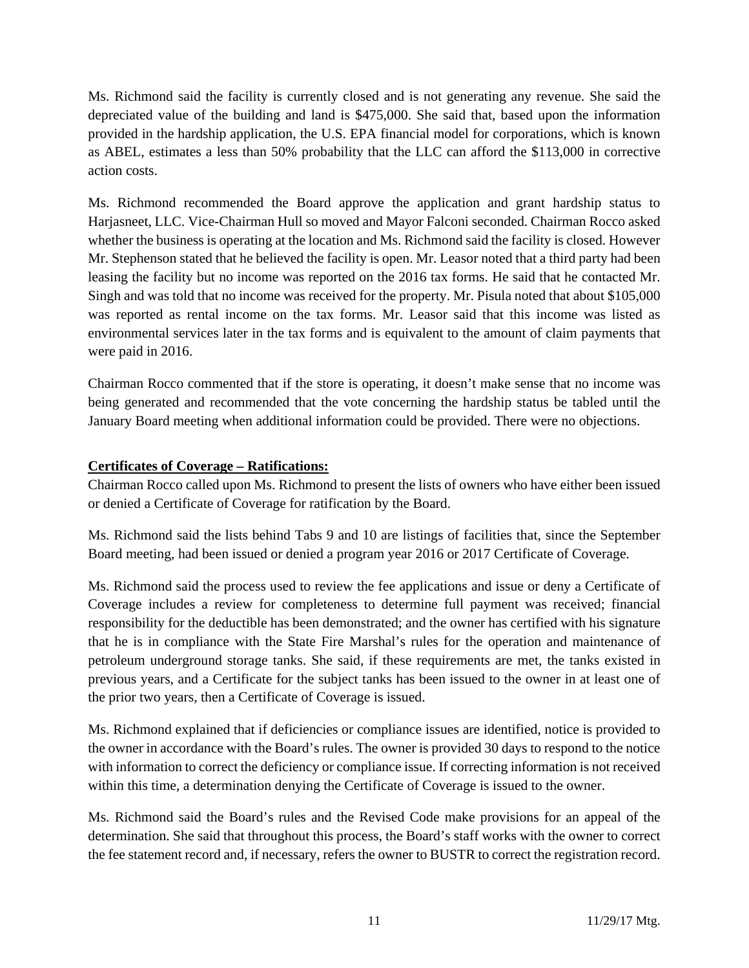Ms. Richmond said the facility is currently closed and is not generating any revenue. She said the depreciated value of the building and land is \$475,000. She said that, based upon the information provided in the hardship application, the U.S. EPA financial model for corporations, which is known as ABEL, estimates a less than 50% probability that the LLC can afford the \$113,000 in corrective action costs.

Ms. Richmond recommended the Board approve the application and grant hardship status to Harjasneet, LLC. Vice-Chairman Hull so moved and Mayor Falconi seconded. Chairman Rocco asked whether the business is operating at the location and Ms. Richmond said the facility is closed. However Mr. Stephenson stated that he believed the facility is open. Mr. Leasor noted that a third party had been leasing the facility but no income was reported on the 2016 tax forms. He said that he contacted Mr. Singh and was told that no income was received for the property. Mr. Pisula noted that about \$105,000 was reported as rental income on the tax forms. Mr. Leasor said that this income was listed as environmental services later in the tax forms and is equivalent to the amount of claim payments that were paid in 2016.

Chairman Rocco commented that if the store is operating, it doesn't make sense that no income was being generated and recommended that the vote concerning the hardship status be tabled until the January Board meeting when additional information could be provided. There were no objections.

# **Certificates of Coverage – Ratifications:**

Chairman Rocco called upon Ms. Richmond to present the lists of owners who have either been issued or denied a Certificate of Coverage for ratification by the Board.

Ms. Richmond said the lists behind Tabs 9 and 10 are listings of facilities that, since the September Board meeting, had been issued or denied a program year 2016 or 2017 Certificate of Coverage.

Ms. Richmond said the process used to review the fee applications and issue or deny a Certificate of Coverage includes a review for completeness to determine full payment was received; financial responsibility for the deductible has been demonstrated; and the owner has certified with his signature that he is in compliance with the State Fire Marshal's rules for the operation and maintenance of petroleum underground storage tanks. She said, if these requirements are met, the tanks existed in previous years, and a Certificate for the subject tanks has been issued to the owner in at least one of the prior two years, then a Certificate of Coverage is issued.

Ms. Richmond explained that if deficiencies or compliance issues are identified, notice is provided to the owner in accordance with the Board's rules. The owner is provided 30 days to respond to the notice with information to correct the deficiency or compliance issue. If correcting information is not received within this time, a determination denying the Certificate of Coverage is issued to the owner.

Ms. Richmond said the Board's rules and the Revised Code make provisions for an appeal of the determination. She said that throughout this process, the Board's staff works with the owner to correct the fee statement record and, if necessary, refers the owner to BUSTR to correct the registration record.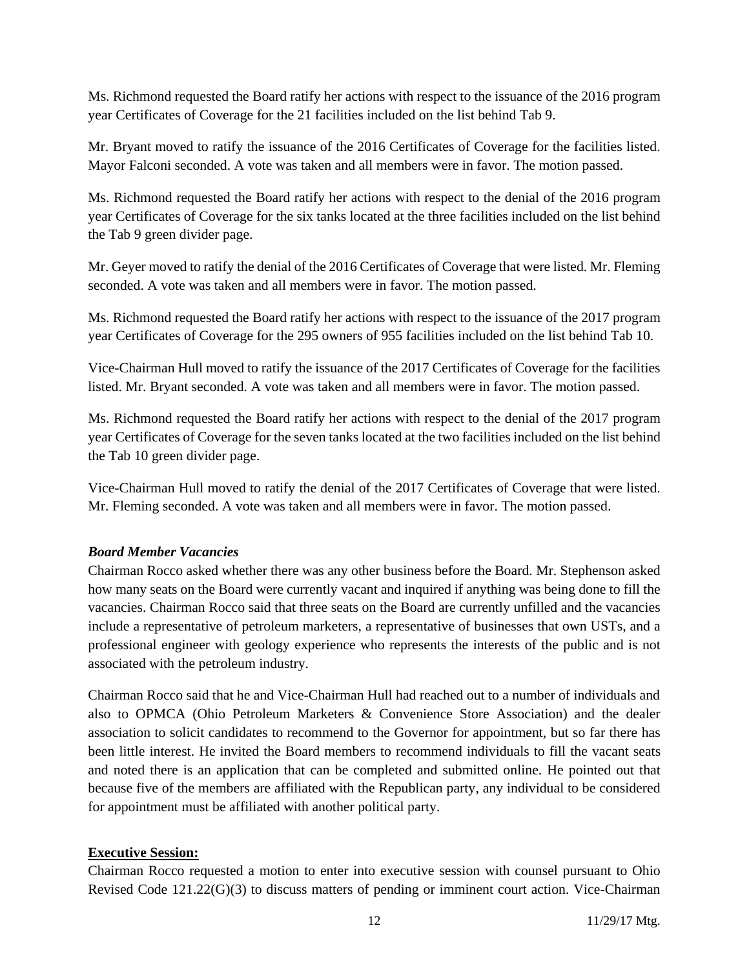Ms. Richmond requested the Board ratify her actions with respect to the issuance of the 2016 program year Certificates of Coverage for the 21 facilities included on the list behind Tab 9.

Mr. Bryant moved to ratify the issuance of the 2016 Certificates of Coverage for the facilities listed. Mayor Falconi seconded. A vote was taken and all members were in favor. The motion passed.

Ms. Richmond requested the Board ratify her actions with respect to the denial of the 2016 program year Certificates of Coverage for the six tanks located at the three facilities included on the list behind the Tab 9 green divider page.

Mr. Geyer moved to ratify the denial of the 2016 Certificates of Coverage that were listed. Mr. Fleming seconded. A vote was taken and all members were in favor. The motion passed.

Ms. Richmond requested the Board ratify her actions with respect to the issuance of the 2017 program year Certificates of Coverage for the 295 owners of 955 facilities included on the list behind Tab 10.

Vice-Chairman Hull moved to ratify the issuance of the 2017 Certificates of Coverage for the facilities listed. Mr. Bryant seconded. A vote was taken and all members were in favor. The motion passed.

Ms. Richmond requested the Board ratify her actions with respect to the denial of the 2017 program year Certificates of Coverage for the seven tanks located at the two facilities included on the list behind the Tab 10 green divider page.

Vice-Chairman Hull moved to ratify the denial of the 2017 Certificates of Coverage that were listed. Mr. Fleming seconded. A vote was taken and all members were in favor. The motion passed.

## *Board Member Vacancies*

Chairman Rocco asked whether there was any other business before the Board. Mr. Stephenson asked how many seats on the Board were currently vacant and inquired if anything was being done to fill the vacancies. Chairman Rocco said that three seats on the Board are currently unfilled and the vacancies include a representative of petroleum marketers, a representative of businesses that own USTs, and a professional engineer with geology experience who represents the interests of the public and is not associated with the petroleum industry.

Chairman Rocco said that he and Vice-Chairman Hull had reached out to a number of individuals and also to OPMCA (Ohio Petroleum Marketers & Convenience Store Association) and the dealer association to solicit candidates to recommend to the Governor for appointment, but so far there has been little interest. He invited the Board members to recommend individuals to fill the vacant seats and noted there is an application that can be completed and submitted online. He pointed out that because five of the members are affiliated with the Republican party, any individual to be considered for appointment must be affiliated with another political party.

## **Executive Session:**

Chairman Rocco requested a motion to enter into executive session with counsel pursuant to Ohio Revised Code 121.22(G)(3) to discuss matters of pending or imminent court action. Vice-Chairman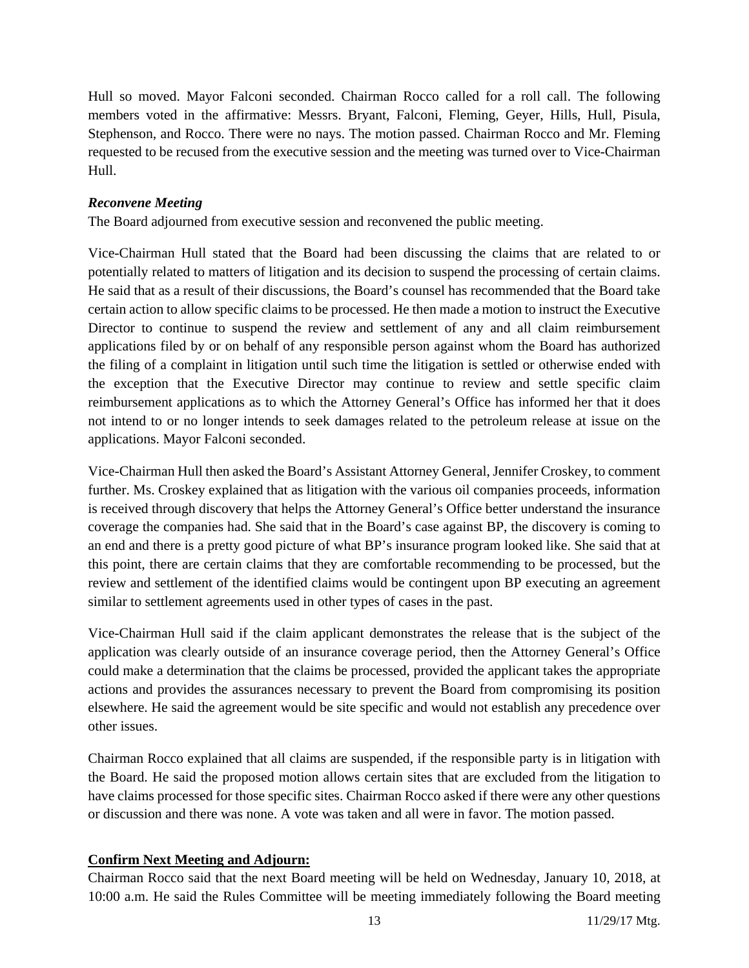Hull so moved. Mayor Falconi seconded. Chairman Rocco called for a roll call. The following members voted in the affirmative: Messrs. Bryant, Falconi, Fleming, Geyer, Hills, Hull, Pisula, Stephenson, and Rocco. There were no nays. The motion passed. Chairman Rocco and Mr. Fleming requested to be recused from the executive session and the meeting was turned over to Vice-Chairman Hull.

#### *Reconvene Meeting*

The Board adjourned from executive session and reconvened the public meeting.

Vice-Chairman Hull stated that the Board had been discussing the claims that are related to or potentially related to matters of litigation and its decision to suspend the processing of certain claims. He said that as a result of their discussions, the Board's counsel has recommended that the Board take certain action to allow specific claims to be processed. He then made a motion to instruct the Executive Director to continue to suspend the review and settlement of any and all claim reimbursement applications filed by or on behalf of any responsible person against whom the Board has authorized the filing of a complaint in litigation until such time the litigation is settled or otherwise ended with the exception that the Executive Director may continue to review and settle specific claim reimbursement applications as to which the Attorney General's Office has informed her that it does not intend to or no longer intends to seek damages related to the petroleum release at issue on the applications. Mayor Falconi seconded.

Vice-Chairman Hull then asked the Board's Assistant Attorney General, Jennifer Croskey, to comment further. Ms. Croskey explained that as litigation with the various oil companies proceeds, information is received through discovery that helps the Attorney General's Office better understand the insurance coverage the companies had. She said that in the Board's case against BP, the discovery is coming to an end and there is a pretty good picture of what BP's insurance program looked like. She said that at this point, there are certain claims that they are comfortable recommending to be processed, but the review and settlement of the identified claims would be contingent upon BP executing an agreement similar to settlement agreements used in other types of cases in the past.

Vice-Chairman Hull said if the claim applicant demonstrates the release that is the subject of the application was clearly outside of an insurance coverage period, then the Attorney General's Office could make a determination that the claims be processed, provided the applicant takes the appropriate actions and provides the assurances necessary to prevent the Board from compromising its position elsewhere. He said the agreement would be site specific and would not establish any precedence over other issues.

Chairman Rocco explained that all claims are suspended, if the responsible party is in litigation with the Board. He said the proposed motion allows certain sites that are excluded from the litigation to have claims processed for those specific sites. Chairman Rocco asked if there were any other questions or discussion and there was none. A vote was taken and all were in favor. The motion passed.

## **Confirm Next Meeting and Adjourn:**

Chairman Rocco said that the next Board meeting will be held on Wednesday, January 10, 2018, at 10:00 a.m. He said the Rules Committee will be meeting immediately following the Board meeting